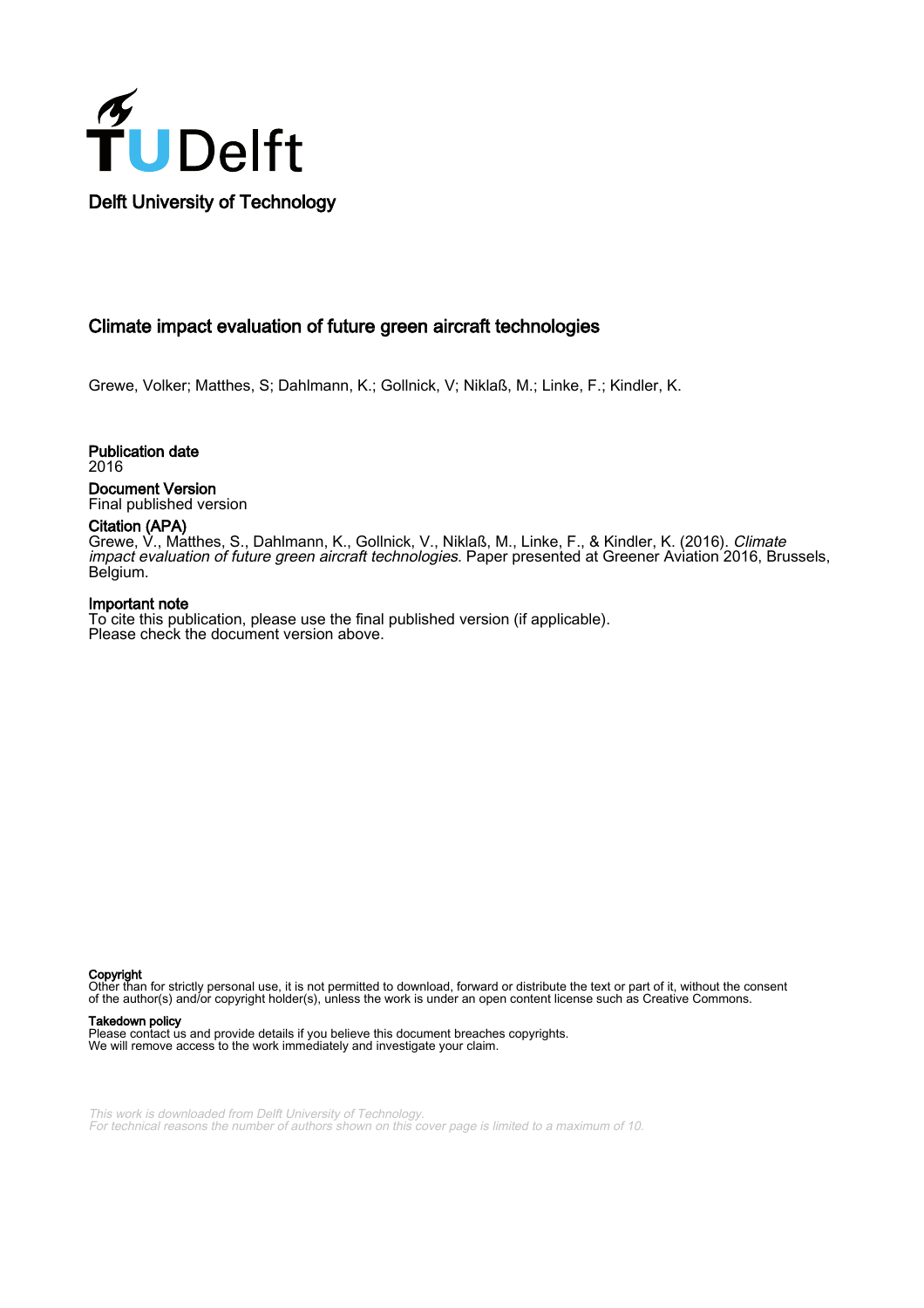

# Climate impact evaluation of future green aircraft technologies

Grewe, Volker; Matthes, S; Dahlmann, K.; Gollnick, V; Niklaß, M.; Linke, F.; Kindler, K.

Publication date 2016 Document Version Final published version

# Citation (APA)

Grewe, V., Matthes, S., Dahlmann, K., Gollnick, V., Niklaß, M., Linke, F., & Kindler, K. (2016). *Climate* impact evaluation of future green aircraft technologies. Paper presented at Greener Aviation 2016, Brussels, Belgium.

#### Important note

To cite this publication, please use the final published version (if applicable). Please check the document version above.

Copyright

Other than for strictly personal use, it is not permitted to download, forward or distribute the text or part of it, without the consent of the author(s) and/or copyright holder(s), unless the work is under an open content license such as Creative Commons.

#### Takedown policy

Please contact us and provide details if you believe this document breaches copyrights. We will remove access to the work immediately and investigate your claim.

This work is downloaded from Delft University of Technology. For technical reasons the number of authors shown on this cover page is limited to a maximum of 10.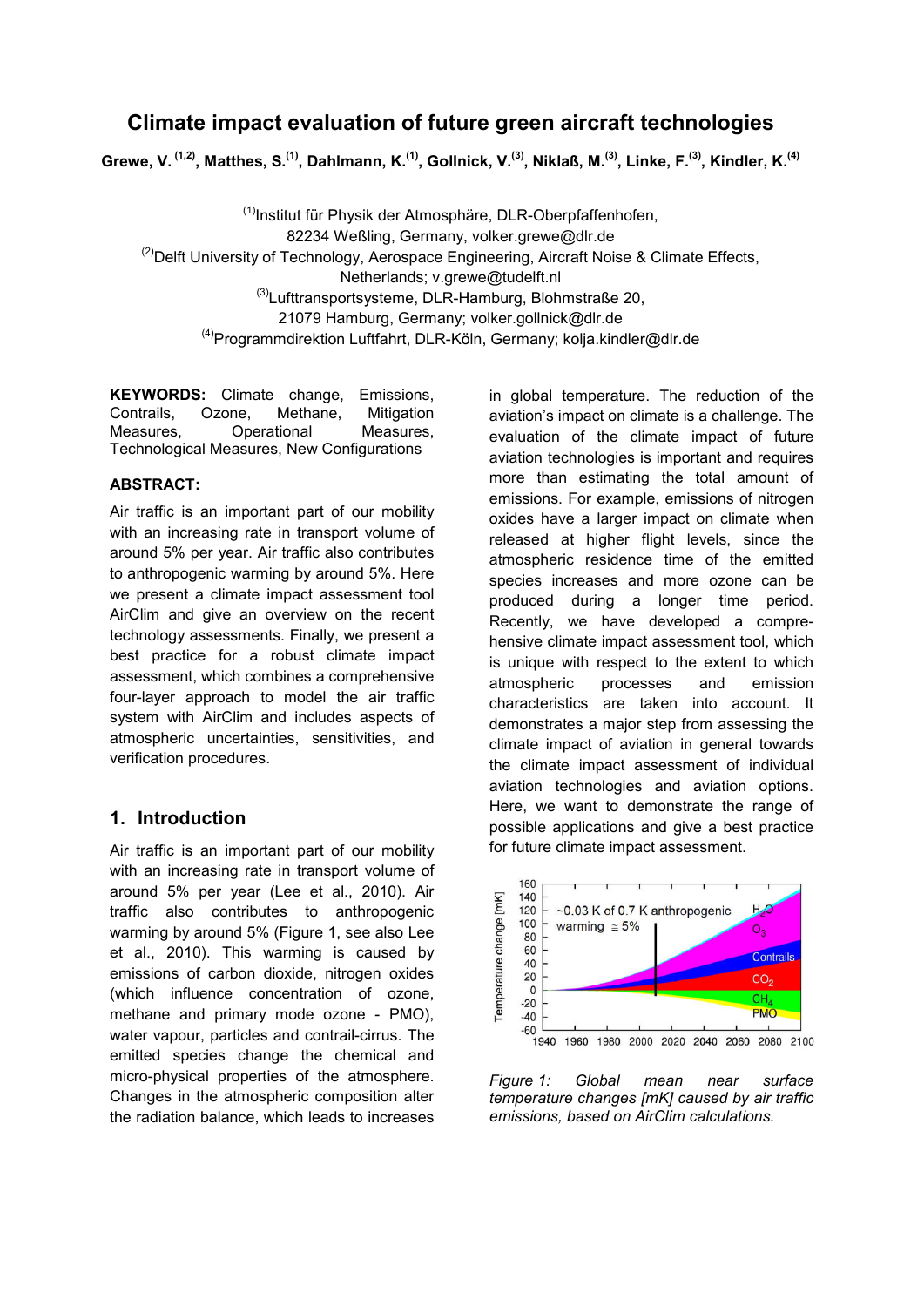# Climate impact evaluation of future green aircraft technologies

Grewe, V. <sup>(1,2)</sup>, Matthes, S.<sup>(1)</sup>, Dahlmann, K.<sup>(1)</sup>, Gollnick, V.<sup>(3)</sup>, Niklaß, M.<sup>(3)</sup>, Linke, F.<sup>(3)</sup>, Kindler, K.<sup>(4)</sup>

<sup>(1)</sup>Institut für Physik der Atmosphäre, DLR-Oberpfaffenhofen, 82234 Weßling, Germany, volker.grewe@dlr.de  $^{(2)}$ Delft University of Technology, Aerospace Engineering, Aircraft Noise & Climate Effects, Netherlands; v.grewe@tudelft.nl (3)Lufttransportsysteme, DLR-Hamburg, Blohmstraße 20, 21079 Hamburg, Germany; volker.gollnick@dlr.de (4)Programmdirektion Luftfahrt, DLR-Köln, Germany; kolja.kindler@dlr.de

KEYWORDS: Climate change, Emissions, Contrails, Ozone, Methane, Mitigation Measures, Operational Measures, Technological Measures, New Configurations

### ABSTRACT:

Air traffic is an important part of our mobility with an increasing rate in transport volume of around 5% per year. Air traffic also contributes to anthropogenic warming by around 5%. Here we present a climate impact assessment tool AirClim and give an overview on the recent technology assessments. Finally, we present a best practice for a robust climate impact assessment, which combines a comprehensive four-layer approach to model the air traffic system with AirClim and includes aspects of atmospheric uncertainties, sensitivities, and verification procedures.

### 1. Introduction

Air traffic is an important part of our mobility with an increasing rate in transport volume of around 5% per year (Lee et al., 2010). Air traffic also contributes to anthropogenic warming by around 5% (Figure 1, see also Lee et al., 2010). This warming is caused by emissions of carbon dioxide, nitrogen oxides (which influence concentration of ozone, methane and primary mode ozone - PMO), water vapour, particles and contrail-cirrus. The emitted species change the chemical and micro-physical properties of the atmosphere. Changes in the atmospheric composition alter the radiation balance, which leads to increases

in global temperature. The reduction of the aviation's impact on climate is a challenge. The evaluation of the climate impact of future aviation technologies is important and requires more than estimating the total amount of emissions. For example, emissions of nitrogen oxides have a larger impact on climate when released at higher flight levels, since the atmospheric residence time of the emitted species increases and more ozone can be produced during a longer time period. Recently, we have developed a comprehensive climate impact assessment tool, which is unique with respect to the extent to which atmospheric processes and emission characteristics are taken into account. It demonstrates a major step from assessing the climate impact of aviation in general towards the climate impact assessment of individual aviation technologies and aviation options. Here, we want to demonstrate the range of possible applications and give a best practice for future climate impact assessment.



*Figure 1: Global mean near surface temperature changes [mK] caused by air traffic emissions, based on AirClim calculations.*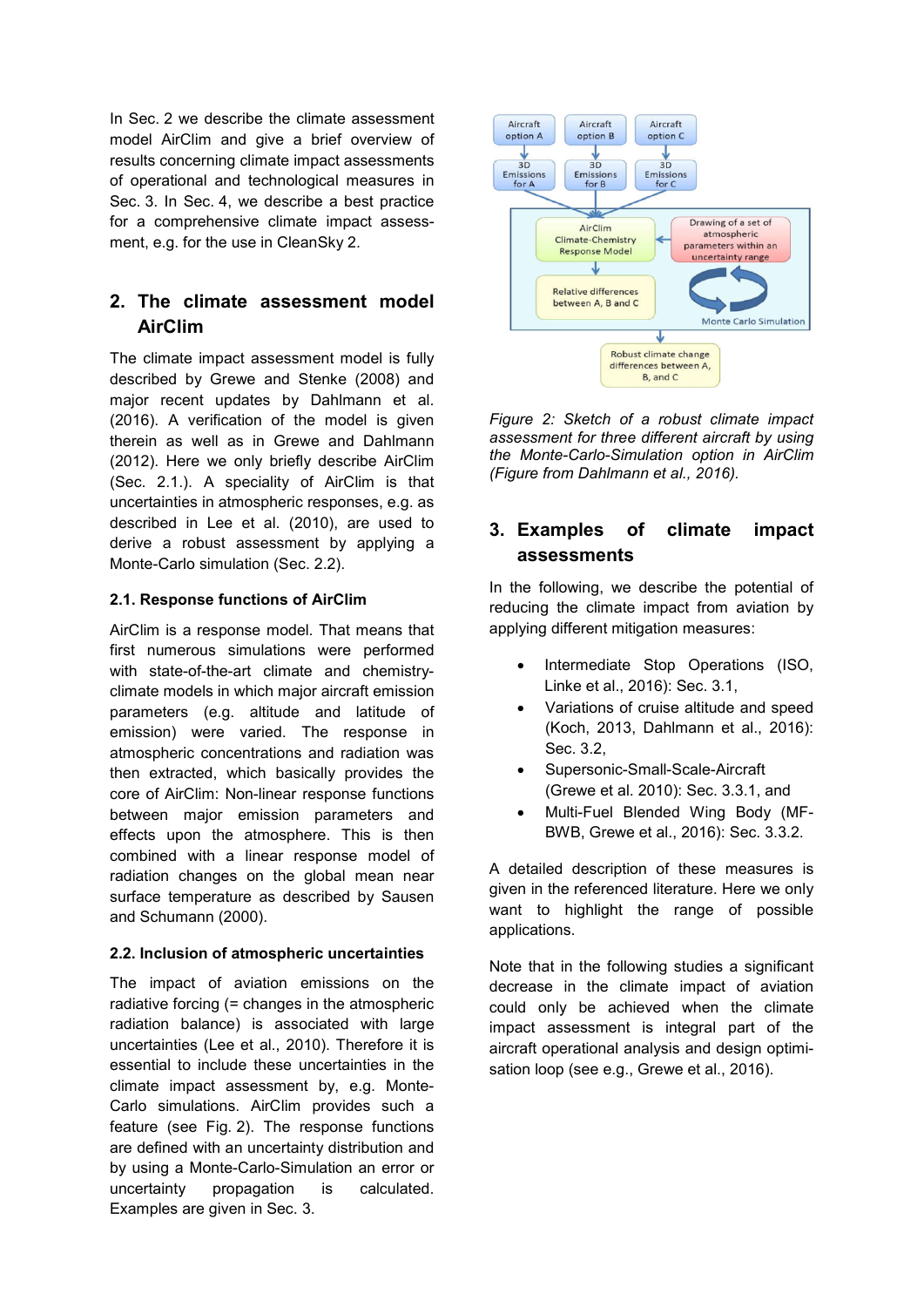In Sec. 2 we describe the climate assessment model AirClim and give a brief overview of results concerning climate impact assessments of operational and technological measures in Sec. 3. In Sec. 4, we describe a best practice for a comprehensive climate impact assessment, e.g. for the use in CleanSky 2.

# 2. The climate assessment model AirClim

The climate impact assessment model is fully described by Grewe and Stenke (2008) and major recent updates by Dahlmann et al. (2016). A verification of the model is given therein as well as in Grewe and Dahlmann (2012). Here we only briefly describe AirClim (Sec. 2.1.). A speciality of AirClim is that uncertainties in atmospheric responses, e.g. as described in Lee et al. (2010), are used to derive a robust assessment by applying a Monte-Carlo simulation (Sec. 2.2).

### 2.1. Response functions of AirClim

AirClim is a response model. That means that first numerous simulations were performed with state-of-the-art climate and chemistryclimate models in which major aircraft emission parameters (e.g. altitude and latitude of emission) were varied. The response in atmospheric concentrations and radiation was then extracted, which basically provides the core of AirClim: Non-linear response functions between major emission parameters and effects upon the atmosphere. This is then combined with a linear response model of radiation changes on the global mean near surface temperature as described by Sausen and Schumann (2000).

### 2.2. Inclusion of atmospheric uncertainties

The impact of aviation emissions on the radiative forcing (= changes in the atmospheric radiation balance) is associated with large uncertainties (Lee et al., 2010). Therefore it is essential to include these uncertainties in the climate impact assessment by, e.g. Monte-Carlo simulations. AirClim provides such a feature (see Fig. 2). The response functions are defined with an uncertainty distribution and by using a Monte-Carlo-Simulation an error or uncertainty propagation is calculated. Examples are given in Sec. 3.



*Figure 2: Sketch of a robust climate impact assessment for three different aircraft by using the Monte-Carlo-Simulation option in AirClim (Figure from Dahlmann et al., 2016).*

# 3. Examples of climate impact assessments

In the following, we describe the potential of reducing the climate impact from aviation by applying different mitigation measures:

- Intermediate Stop Operations (ISO, Linke et al., 2016): Sec. 3.1,
- Variations of cruise altitude and speed (Koch, 2013, Dahlmann et al., 2016): Sec. 3.2,
- Supersonic-Small-Scale-Aircraft (Grewe et al. 2010): Sec. 3.3.1, and
- Multi-Fuel Blended Wing Body (MF-BWB, Grewe et al., 2016): Sec. 3.3.2.

A detailed description of these measures is given in the referenced literature. Here we only want to highlight the range of possible applications.

Note that in the following studies a significant decrease in the climate impact of aviation could only be achieved when the climate impact assessment is integral part of the aircraft operational analysis and design optimisation loop (see e.g., Grewe et al., 2016).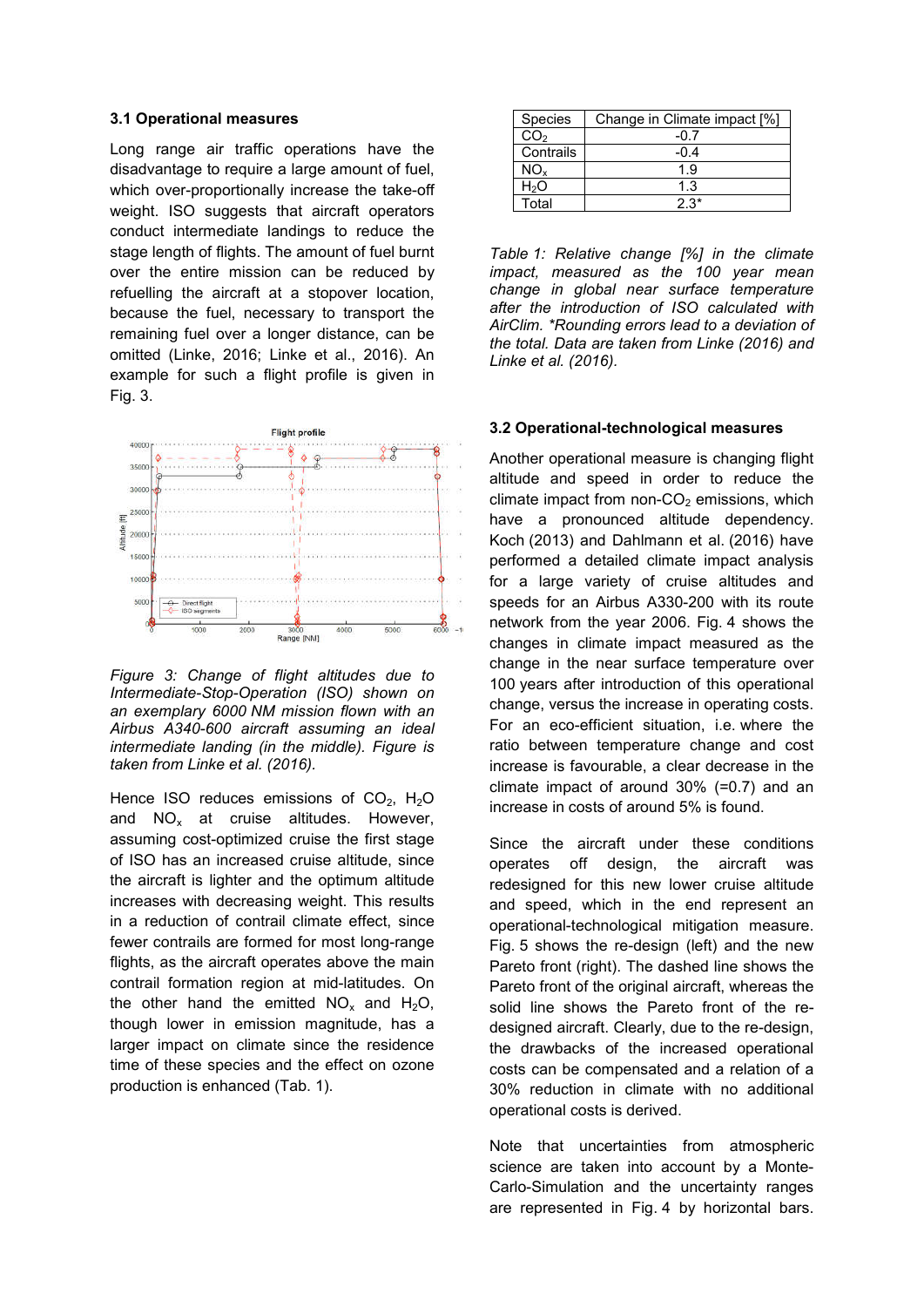#### 3.1 Operational measures

Long range air traffic operations have the disadvantage to require a large amount of fuel, which over-proportionally increase the take-off weight. ISO suggests that aircraft operators conduct intermediate landings to reduce the stage length of flights. The amount of fuel burnt over the entire mission can be reduced by refuelling the aircraft at a stopover location, because the fuel, necessary to transport the remaining fuel over a longer distance, can be omitted (Linke, 2016; Linke et al., 2016). An example for such a flight profile is given in Fig. 3.



*Figure 3: Change of flight altitudes due to Intermediate-Stop-Operation (ISO) shown on an exemplary 6000 NM mission flown with an Airbus A340-600 aircraft assuming an ideal intermediate landing (in the middle). Figure is taken from Linke et al. (2016).*

Hence ISO reduces emissions of  $CO<sub>2</sub>$ , H<sub>2</sub>O and  $NO<sub>x</sub>$  at cruise altitudes. However, assuming cost-optimized cruise the first stage of ISO has an increased cruise altitude, since the aircraft is lighter and the optimum altitude increases with decreasing weight. This results in a reduction of contrail climate effect, since fewer contrails are formed for most long-range flights, as the aircraft operates above the main contrail formation region at mid-latitudes. On the other hand the emitted  $NO_x$  and  $H_2O$ , though lower in emission magnitude, has a larger impact on climate since the residence time of these species and the effect on ozone production is enhanced (Tab. 1).

| Species         | Change in Climate impact [%] |
|-----------------|------------------------------|
| CO <sub>2</sub> | -0.7                         |
| Contrails       | -0.4                         |
| NO <sub>¥</sub> | 1.9                          |
| H2O             | 1.3                          |
| Total           | 2.3*                         |

*Table 1: Relative change [%] in the climate impact, measured as the 100 year mean change in global near surface temperature after the introduction of ISO calculated with AirClim. \*Rounding errors lead to a deviation of the total. Data are taken from Linke (2016) and Linke et al. (2016).*

#### 3.2 Operational-technological measures

Another operational measure is changing flight altitude and speed in order to reduce the climate impact from non- $CO<sub>2</sub>$  emissions, which have a pronounced altitude dependency. Koch (2013) and Dahlmann et al. (2016) have performed a detailed climate impact analysis for a large variety of cruise altitudes and speeds for an Airbus A330-200 with its route network from the year 2006. Fig. 4 shows the changes in climate impact measured as the change in the near surface temperature over 100 years after introduction of this operational change, versus the increase in operating costs. For an eco-efficient situation, i.e. where the ratio between temperature change and cost increase is favourable, a clear decrease in the climate impact of around 30% (=0.7) and an increase in costs of around 5% is found.

Since the aircraft under these conditions operates off design, the aircraft was redesigned for this new lower cruise altitude and speed, which in the end represent an operational-technological mitigation measure. Fig. 5 shows the re-design (left) and the new Pareto front (right). The dashed line shows the Pareto front of the original aircraft, whereas the solid line shows the Pareto front of the redesigned aircraft. Clearly, due to the re-design, the drawbacks of the increased operational costs can be compensated and a relation of a 30% reduction in climate with no additional operational costs is derived.

Note that uncertainties from atmospheric science are taken into account by a Monte-Carlo-Simulation and the uncertainty ranges are represented in Fig. 4 by horizontal bars.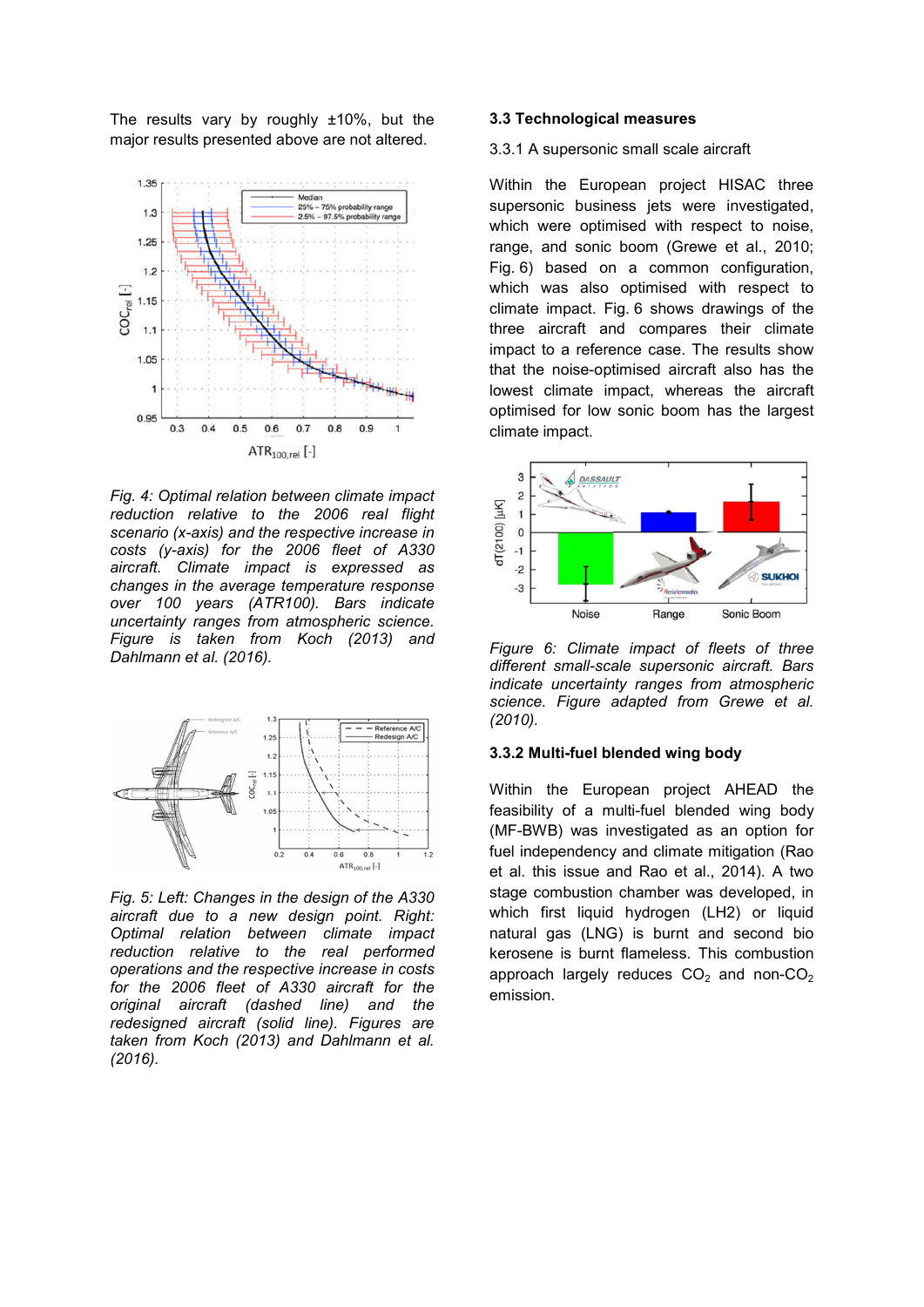The results vary by roughly ±10%, but the major results presented above are not altered.



*Fig. 4: Optimal relation between climate impact reduction relative to the 2006 real flight scenario (x-axis) and the respective increase in costs (y-axis) for the 2006 fleet of A330 aircraft. Climate impact is expressed as changes in the average temperature response over 100 years (ATR100). Bars indicate uncertainty ranges from atmospheric science. Figure is taken from Koch (2013) and Dahlmann et al. (2016).*



*Fig. 5: Left: Changes in the design of the A330 aircraft due to a new design point. Right: Optimal relation between climate impact reduction relative to the real performed operations and the respective increase in costs for the 2006 fleet of A330 aircraft for the original aircraft (dashed line) and the redesigned aircraft (solid line). Figures are taken from Koch (2013) and Dahlmann et al. (2016).*

#### 3.3 Technological measures

#### 3.3.1 A supersonic small scale aircraft

Within the European project HISAC three supersonic business jets were investigated. which were optimised with respect to noise, range, and sonic boom (Grewe et al., 2010; Fig. 6) based on a common configuration, which was also optimised with respect to climate impact. Fig. 6 shows drawings of the three aircraft and compares their climate impact to a reference case. The results show that the noise-optimised aircraft also has the lowest climate impact, whereas the aircraft optimised for low sonic boom has the largest climate impact.



*Figure 6: Climate impact of fleets of three different small-scale supersonic aircraft. Bars indicate uncertainty ranges from atmospheric science. Figure adapted from Grewe et al. (2010).*

### 3.3.2 Multi-fuel blended wing body

Within the European project AHEAD the feasibility of a multi-fuel blended wing body (MF-BWB) was investigated as an option for fuel independency and climate mitigation (Rao et al. this issue and Rao et al., 2014). A two stage combustion chamber was developed, in which first liquid hydrogen (LH2) or liquid natural gas (LNG) is burnt and second bio kerosene is burnt flameless. This combustion approach largely reduces  $CO<sub>2</sub>$  and non- $CO<sub>2</sub>$ emission.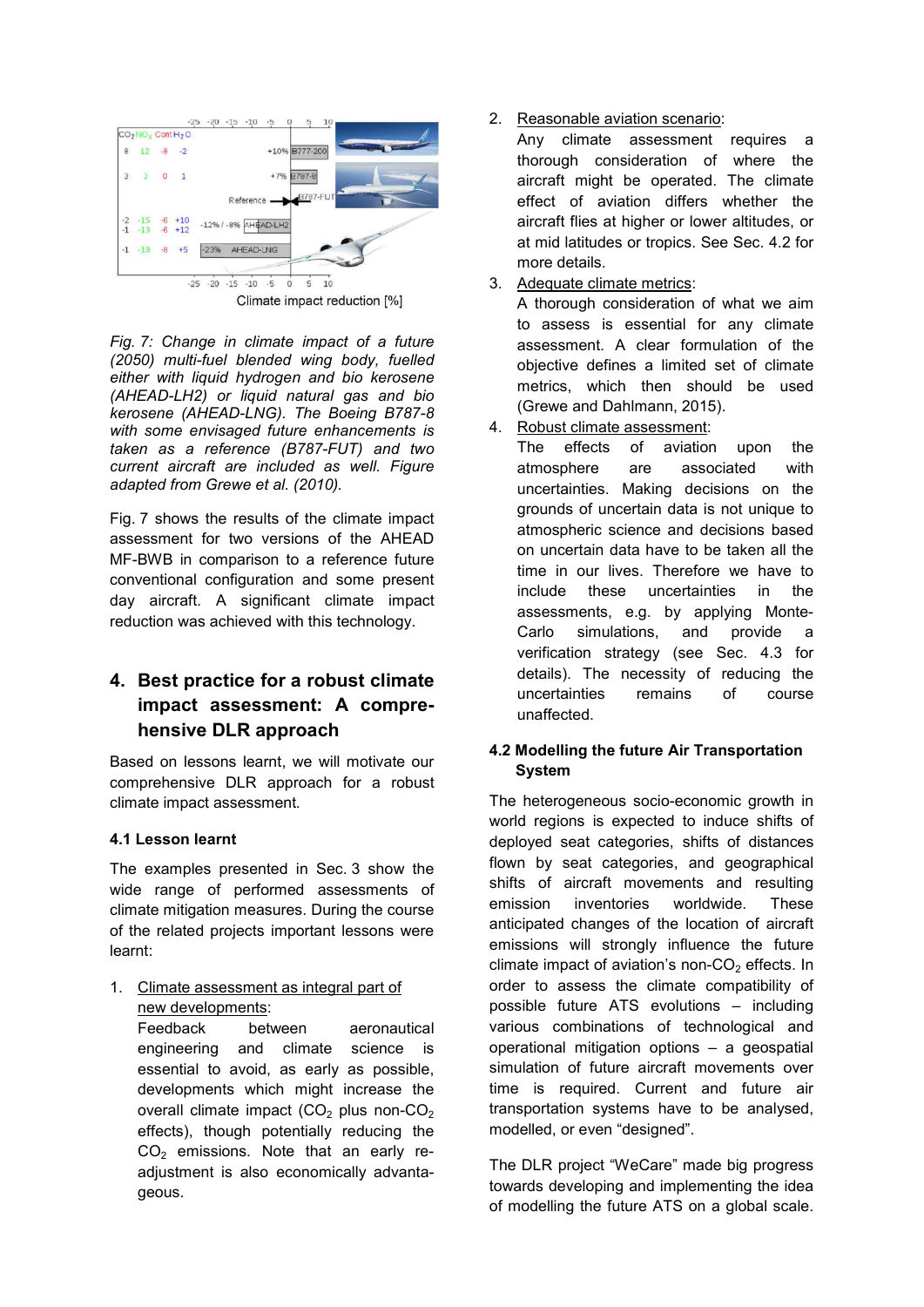

Climate impact reduction [%]

*Fig. 7: Change in climate impact of a future (2050) multi-fuel blended wing body, fuelled either with liquid hydrogen and bio kerosene (AHEAD-LH2) or liquid natural gas and bio kerosene (AHEAD-LNG). The Boeing B787-8 with some envisaged future enhancements is taken as a reference (B787-FUT) and two current aircraft are included as well. Figure adapted from Grewe et al. (2010).*

Fig. 7 shows the results of the climate impact assessment for two versions of the AHEAD MF-BWB in comparison to a reference future conventional configuration and some present day aircraft. A significant climate impact reduction was achieved with this technology.

# 4. Best practice for a robust climate impact assessment: A comprehensive DLR approach

Based on lessons learnt, we will motivate our comprehensive DLR approach for a robust climate impact assessment.

### 4.1 Lesson learnt

The examples presented in Sec. 3 show the wide range of performed assessments of climate mitigation measures. During the course of the related projects important lessons were learnt:

1. Climate assessment as integral part of new developments:

Feedback between aeronautical engineering and climate science is essential to avoid, as early as possible, developments which might increase the overall climate impact  $(CO<sub>2</sub>)$  plus non-CO<sub>2</sub> effects), though potentially reducing the  $CO<sub>2</sub>$  emissions. Note that an early readjustment is also economically advantageous.

# 2. Reasonable aviation scenario:

Any climate assessment requires a thorough consideration of where the aircraft might be operated. The climate effect of aviation differs whether the aircraft flies at higher or lower altitudes, or at mid latitudes or tropics. See Sec. 4.2 for more details.

3. Adequate climate metrics:

A thorough consideration of what we aim to assess is essential for any climate assessment. A clear formulation of the objective defines a limited set of climate metrics, which then should be used (Grewe and Dahlmann, 2015).

4. Robust climate assessment:

The effects of aviation upon the atmosphere are associated with uncertainties. Making decisions on the grounds of uncertain data is not unique to atmospheric science and decisions based on uncertain data have to be taken all the time in our lives. Therefore we have to include these uncertainties in the assessments, e.g. by applying Monte-Carlo simulations, and provide a verification strategy (see Sec. 4.3 for details). The necessity of reducing the uncertainties remains of course unaffected.

### 4.2 Modelling the future Air Transportation System

The heterogeneous socio-economic growth in world regions is expected to induce shifts of deployed seat categories, shifts of distances flown by seat categories, and geographical shifts of aircraft movements and resulting emission inventories worldwide. These anticipated changes of the location of aircraft emissions will strongly influence the future climate impact of aviation's non- $CO<sub>2</sub>$  effects. In order to assess the climate compatibility of possible future ATS evolutions – including various combinations of technological and operational mitigation options – a geospatial simulation of future aircraft movements over time is required. Current and future air transportation systems have to be analysed, modelled, or even "designed".

The DLR project "WeCare" made big progress towards developing and implementing the idea of modelling the future ATS on a global scale.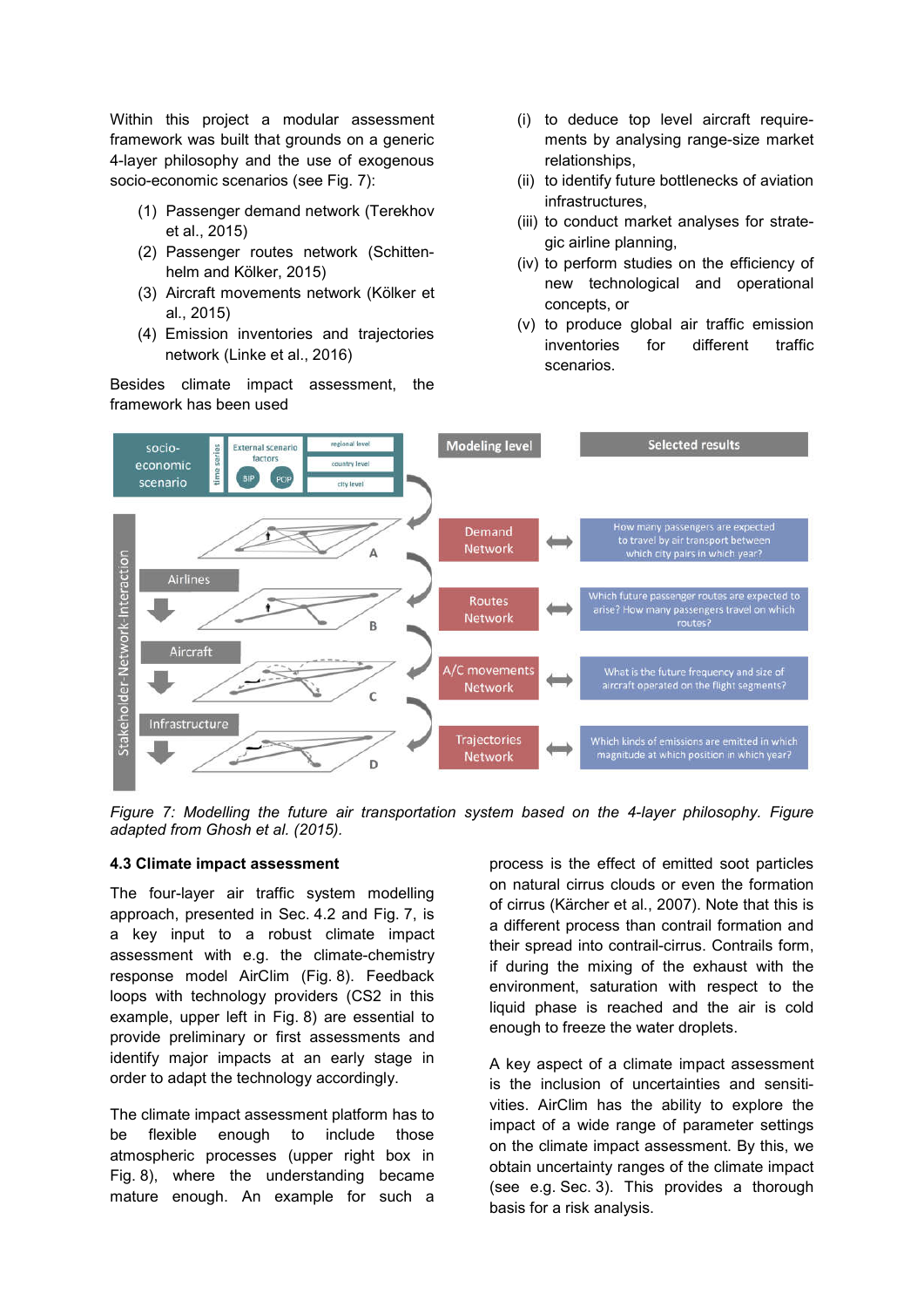Within this project a modular assessment framework was built that grounds on a generic 4-layer philosophy and the use of exogenous socio-economic scenarios (see Fig. 7):

- (1) Passenger demand network (Terekhov et al., 2015)
- (2) Passenger routes network (Schittenhelm and Kölker, 2015)
- (3) Aircraft movements network (Kölker et al., 2015)
- (4) Emission inventories and trajectories network (Linke et al., 2016)

Besides climate impact assessment, the framework has been used

- (i) to deduce top level aircraft requirements by analysing range-size market relationships,
- (ii) to identify future bottlenecks of aviation infrastructures,
- (iii) to conduct market analyses for strategic airline planning,
- (iv) to perform studies on the efficiency of new technological and operational concepts, or
- (v) to produce global air traffic emission inventories for different traffic scenarios.



*Figure 7: Modelling the future air transportation system based on the 4-layer philosophy. Figure adapted from Ghosh et al. (2015).*

#### 4.3 Climate impact assessment

The four-layer air traffic system modelling approach, presented in Sec. 4.2 and Fig. 7, is a key input to a robust climate impact assessment with e.g. the climate-chemistry response model AirClim (Fig. 8). Feedback loops with technology providers (CS2 in this example, upper left in Fig. 8) are essential to provide preliminary or first assessments and identify major impacts at an early stage in order to adapt the technology accordingly.

The climate impact assessment platform has to be flexible enough to include those atmospheric processes (upper right box in Fig. 8), where the understanding became mature enough. An example for such a process is the effect of emitted soot particles on natural cirrus clouds or even the formation of cirrus (Kärcher et al., 2007). Note that this is a different process than contrail formation and their spread into contrail-cirrus. Contrails form, if during the mixing of the exhaust with the environment, saturation with respect to the liquid phase is reached and the air is cold enough to freeze the water droplets.

A key aspect of a climate impact assessment is the inclusion of uncertainties and sensitivities. AirClim has the ability to explore the impact of a wide range of parameter settings on the climate impact assessment. By this, we obtain uncertainty ranges of the climate impact (see e.g. Sec. 3). This provides a thorough basis for a risk analysis.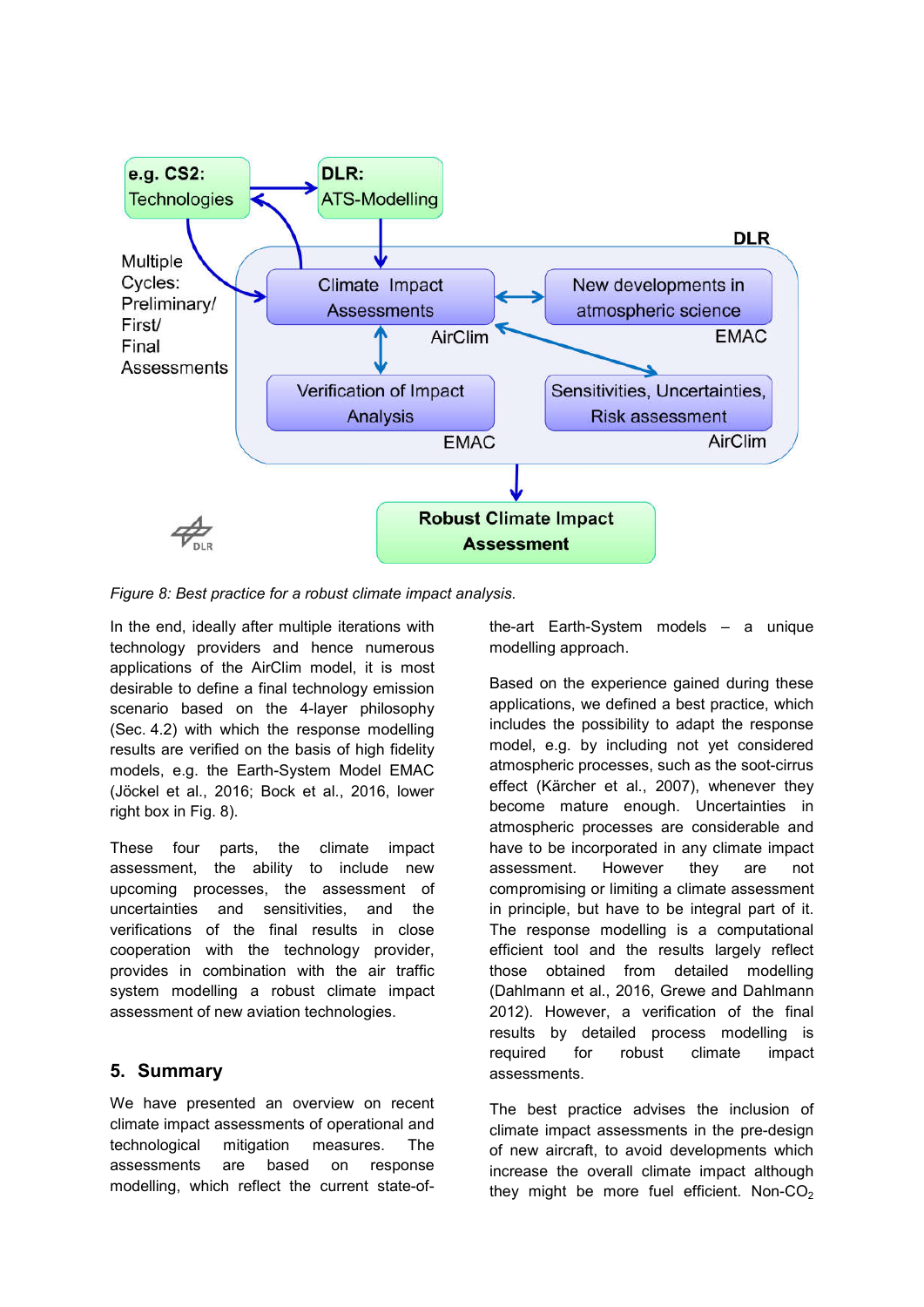

*Figure 8: Best practice for a robust climate impact analysis.* 

In the end, ideally after multiple iterations with technology providers and hence numerous applications of the AirClim model, it is most desirable to define a final technology emission scenario based on the 4-layer philosophy (Sec. 4.2) with which the response modelling results are verified on the basis of high fidelity models, e.g. the Earth-System Model EMAC (Jöckel et al., 2016; Bock et al., 2016, lower right box in Fig. 8).

These four parts, the climate impact assessment, the ability to include new upcoming processes, the assessment of uncertainties and sensitivities, and the verifications of the final results in close cooperation with the technology provider, provides in combination with the air traffic system modelling a robust climate impact assessment of new aviation technologies.

# 5. Summary

We have presented an overview on recent climate impact assessments of operational and technological mitigation measures. The assessments are based on response modelling, which reflect the current state-ofthe-art Earth-System models – a unique modelling approach.

Based on the experience gained during these applications, we defined a best practice, which includes the possibility to adapt the response model, e.g. by including not yet considered atmospheric processes, such as the soot-cirrus effect (Kärcher et al., 2007), whenever they become mature enough. Uncertainties in atmospheric processes are considerable and have to be incorporated in any climate impact assessment. However they are not compromising or limiting a climate assessment in principle, but have to be integral part of it. The response modelling is a computational efficient tool and the results largely reflect those obtained from detailed modelling (Dahlmann et al., 2016, Grewe and Dahlmann 2012). However, a verification of the final results by detailed process modelling is required for robust climate impact assessments.

The best practice advises the inclusion of climate impact assessments in the pre-design of new aircraft, to avoid developments which increase the overall climate impact although they might be more fuel efficient. Non- $CO<sub>2</sub>$